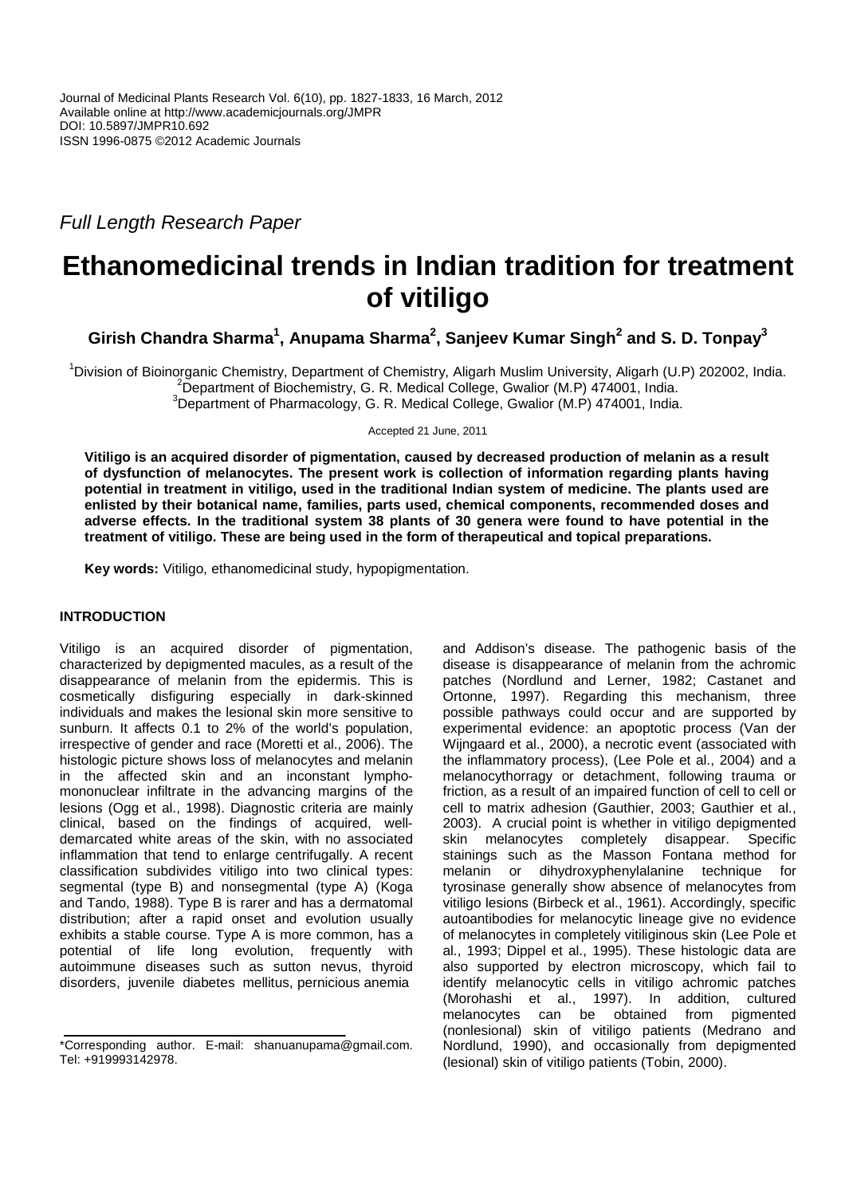Full Length Research Paper

# **Ethanomedicinal trends in Indian tradition for treatment of vitiligo**

**Girish Chandra Sharma<sup>1</sup> , Anupama Sharma<sup>2</sup> , Sanjeev Kumar Singh<sup>2</sup> and S. D. Tonpay<sup>3</sup>**

<sup>1</sup>Division of Bioinorganic Chemistry, Department of Chemistry, Aligarh Muslim University, Aligarh (U.P) 202002, India. <sup>2</sup>Department of Biochemistry, G. R. Medical College, Gwalior (M.P) 474001, India.

<sup>3</sup>Department of Pharmacology, G. R. Medical College, Gwalior (M.P) 474001, India.

Accepted 21 June, 2011

**Vitiligo is an acquired disorder of pigmentation, caused by decreased production of melanin as a result of dysfunction of melanocytes. The present work is collection of information regarding plants having potential in treatment in vitiligo, used in the traditional Indian system of medicine. The plants used are enlisted by their botanical name, families, parts used, chemical components, recommended doses and adverse effects. In the traditional system 38 plants of 30 genera were found to have potential in the treatment of vitiligo. These are being used in the form of therapeutical and topical preparations.** 

**Key words:** Vitiligo, ethanomedicinal study, hypopigmentation.

## **INTRODUCTION**

Vitiligo is an acquired disorder of pigmentation, characterized by depigmented macules, as a result of the disappearance of melanin from the epidermis. This is cosmetically disfiguring especially in dark-skinned individuals and makes the lesional skin more sensitive to sunburn. It affects 0.1 to 2% of the world's population, irrespective of gender and race (Moretti et al., 2006). The histologic picture shows loss of melanocytes and melanin in the affected skin and an inconstant lymphomononuclear infiltrate in the advancing margins of the lesions (Ogg et al., 1998). Diagnostic criteria are mainly clinical, based on the findings of acquired, welldemarcated white areas of the skin, with no associated inflammation that tend to enlarge centrifugally. A recent classification subdivides vitiligo into two clinical types: segmental (type B) and nonsegmental (type A) (Koga and Tando, 1988). Type B is rarer and has a dermatomal distribution; after a rapid onset and evolution usually exhibits a stable course. Type A is more common, has a potential of life long evolution, frequently with autoimmune diseases such as sutton nevus, thyroid disorders, juvenile diabetes mellitus, pernicious anemia

and Addison's disease. The pathogenic basis of the disease is disappearance of melanin from the achromic patches (Nordlund and Lerner, 1982; Castanet and Ortonne, 1997). Regarding this mechanism, three possible pathways could occur and are supported by experimental evidence: an apoptotic process (Van der Wijngaard et al., 2000), a necrotic event (associated with the inflammatory process), (Lee Pole et al., 2004) and a melanocythorragy or detachment, following trauma or friction, as a result of an impaired function of cell to cell or cell to matrix adhesion (Gauthier, 2003; Gauthier et al., 2003). A crucial point is whether in vitiligo depigmented skin melanocytes completely disappear. Specific stainings such as the Masson Fontana method for melanin or dihydroxyphenylalanine technique for tyrosinase generally show absence of melanocytes from vitiligo lesions (Birbeck et al., 1961). Accordingly, specific autoantibodies for melanocytic lineage give no evidence of melanocytes in completely vitiliginous skin (Lee Pole et al., 1993; Dippel et al., 1995). These histologic data are also supported by electron microscopy, which fail to identify melanocytic cells in vitiligo achromic patches (Morohashi et al., 1997). In addition, cultured melanocytes can be obtained (nonlesional) skin of vitiligo patients (Medrano and Nordlund, 1990), and occasionally from depigmented (lesional) skin of vitiligo patients (Tobin, 2000).

<sup>\*</sup>Corresponding author. E-mail: shanuanupama@gmail.com. Tel: +919993142978.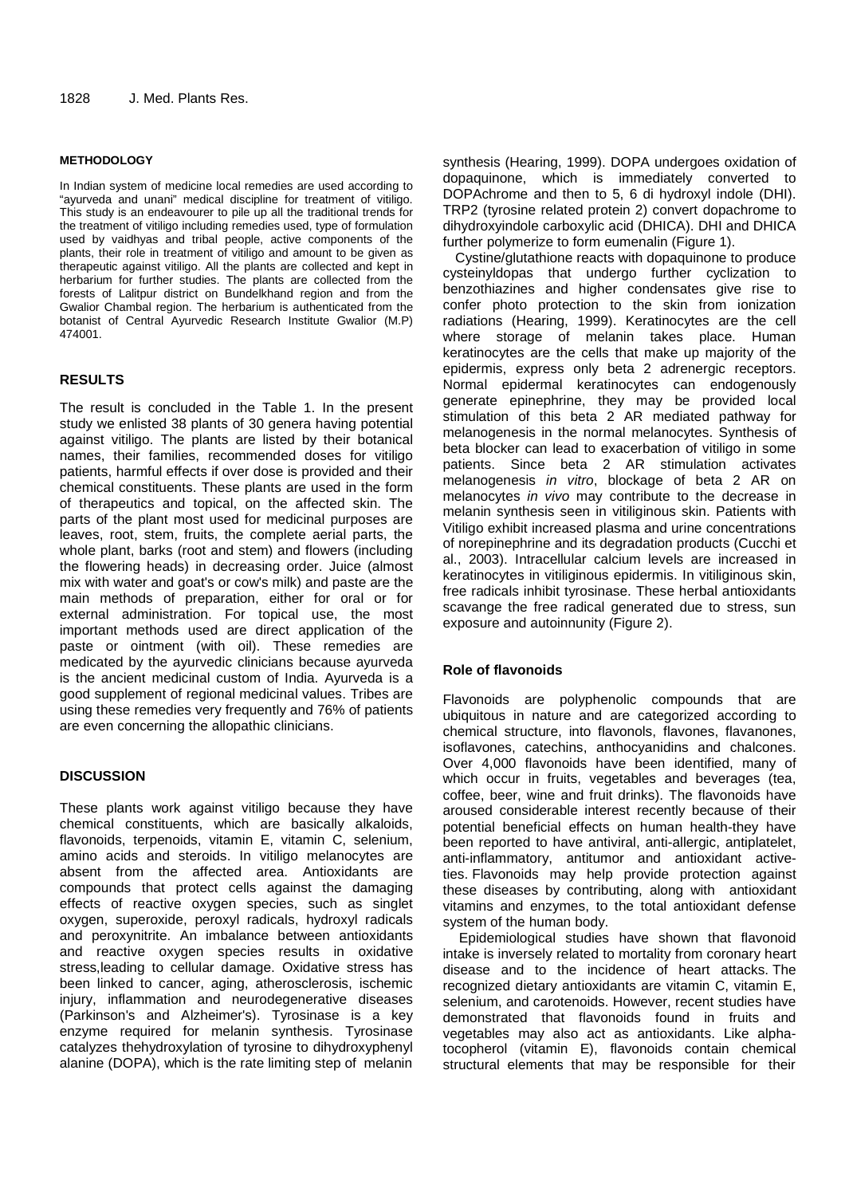## **METHODOLOGY**

In Indian system of medicine local remedies are used according to "ayurveda and unani" medical discipline for treatment of vitiligo. This study is an endeavourer to pile up all the traditional trends for the treatment of vitiligo including remedies used, type of formulation used by vaidhyas and tribal people, active components of the plants, their role in treatment of vitiligo and amount to be given as therapeutic against vitiligo. All the plants are collected and kept in herbarium for further studies. The plants are collected from the forests of Lalitpur district on Bundelkhand region and from the Gwalior Chambal region. The herbarium is authenticated from the botanist of Central Ayurvedic Research Institute Gwalior (M.P) 474001.

# **RESULTS**

The result is concluded in the Table 1. In the present study we enlisted 38 plants of 30 genera having potential against vitiligo. The plants are listed by their botanical names, their families, recommended doses for vitiligo patients, harmful effects if over dose is provided and their chemical constituents. These plants are used in the form of therapeutics and topical, on the affected skin. The parts of the plant most used for medicinal purposes are leaves, root, stem, fruits, the complete aerial parts, the whole plant, barks (root and stem) and flowers (including the flowering heads) in decreasing order. Juice (almost mix with water and goat's or cow's milk) and paste are the main methods of preparation, either for oral or for external administration. For topical use, the most important methods used are direct application of the paste or ointment (with oil). These remedies are medicated by the ayurvedic clinicians because ayurveda is the ancient medicinal custom of India. Ayurveda is a good supplement of regional medicinal values. Tribes are using these remedies very frequently and 76% of patients are even concerning the allopathic clinicians.

## **DISCUSSION**

These plants work against vitiligo because they have chemical constituents, which are basically alkaloids, flavonoids, terpenoids, vitamin E, vitamin C, selenium, amino acids and steroids. In vitiligo melanocytes are absent from the affected area. Antioxidants are compounds that protect cells against the damaging effects of reactive oxygen species, such as singlet oxygen, superoxide, peroxyl radicals, hydroxyl radicals and peroxynitrite. An imbalance between antioxidants and reactive oxygen species results in oxidative stress,leading to cellular damage. Oxidative stress has been linked to cancer, aging, atherosclerosis, ischemic injury, inflammation and neurodegenerative diseases (Parkinson's and Alzheimer's). Tyrosinase is a key enzyme required for melanin synthesis. Tyrosinase catalyzes thehydroxylation of tyrosine to dihydroxyphenyl alanine (DOPA), which is the rate limiting step of melanin synthesis (Hearing, 1999). DOPA undergoes oxidation of dopaquinone, which is immediately converted to DOPAchrome and then to 5, 6 di hydroxyl indole (DHI). TRP2 (tyrosine related protein 2) convert dopachrome to dihydroxyindole carboxylic acid (DHICA). DHI and DHICA further polymerize to form eumenalin (Figure 1).

Cystine/glutathione reacts with dopaquinone to produce cysteinyldopas that undergo further cyclization to benzothiazines and higher condensates give rise to confer photo protection to the skin from ionization radiations (Hearing, 1999). Keratinocytes are the cell where storage of melanin takes place. Human keratinocytes are the cells that make up majority of the epidermis, express only beta 2 adrenergic receptors. Normal epidermal keratinocytes can endogenously generate epinephrine, they may be provided local stimulation of this beta 2 AR mediated pathway for melanogenesis in the normal melanocytes. Synthesis of beta blocker can lead to exacerbation of vitiligo in some patients. Since beta 2 AR stimulation activates melanogenesis in vitro, blockage of beta 2 AR on melanocytes in vivo may contribute to the decrease in melanin synthesis seen in vitiliginous skin. Patients with Vitiligo exhibit increased plasma and urine concentrations of norepinephrine and its degradation products (Cucchi et al., 2003). Intracellular calcium levels are increased in keratinocytes in vitiliginous epidermis. In vitiliginous skin, free radicals inhibit tyrosinase. These herbal antioxidants scavange the free radical generated due to stress, sun exposure and autoinnunity (Figure 2).

## **Role of flavonoids**

Flavonoids are polyphenolic compounds that are ubiquitous in nature and are categorized according to chemical structure, into flavonols, flavones, flavanones, isoflavones, catechins, anthocyanidins and chalcones. Over 4,000 flavonoids have been identified, many of which occur in fruits, vegetables and beverages (tea, coffee, beer, wine and fruit drinks). The flavonoids have aroused considerable interest recently because of their potential beneficial effects on human health-they have been reported to have antiviral, anti-allergic, antiplatelet, anti-inflammatory, antitumor and antioxidant activeties. Flavonoids may help provide protection against these diseases by contributing, along with antioxidant vitamins and enzymes, to the total antioxidant defense system of the human body.

 Epidemiological studies have shown that flavonoid intake is inversely related to mortality from coronary heart disease and to the incidence of heart attacks. The recognized dietary antioxidants are vitamin C, vitamin E, selenium, and carotenoids. However, recent studies have demonstrated that flavonoids found in fruits and vegetables may also act as antioxidants. Like alphatocopherol (vitamin E), flavonoids contain chemical structural elements that may be responsible for their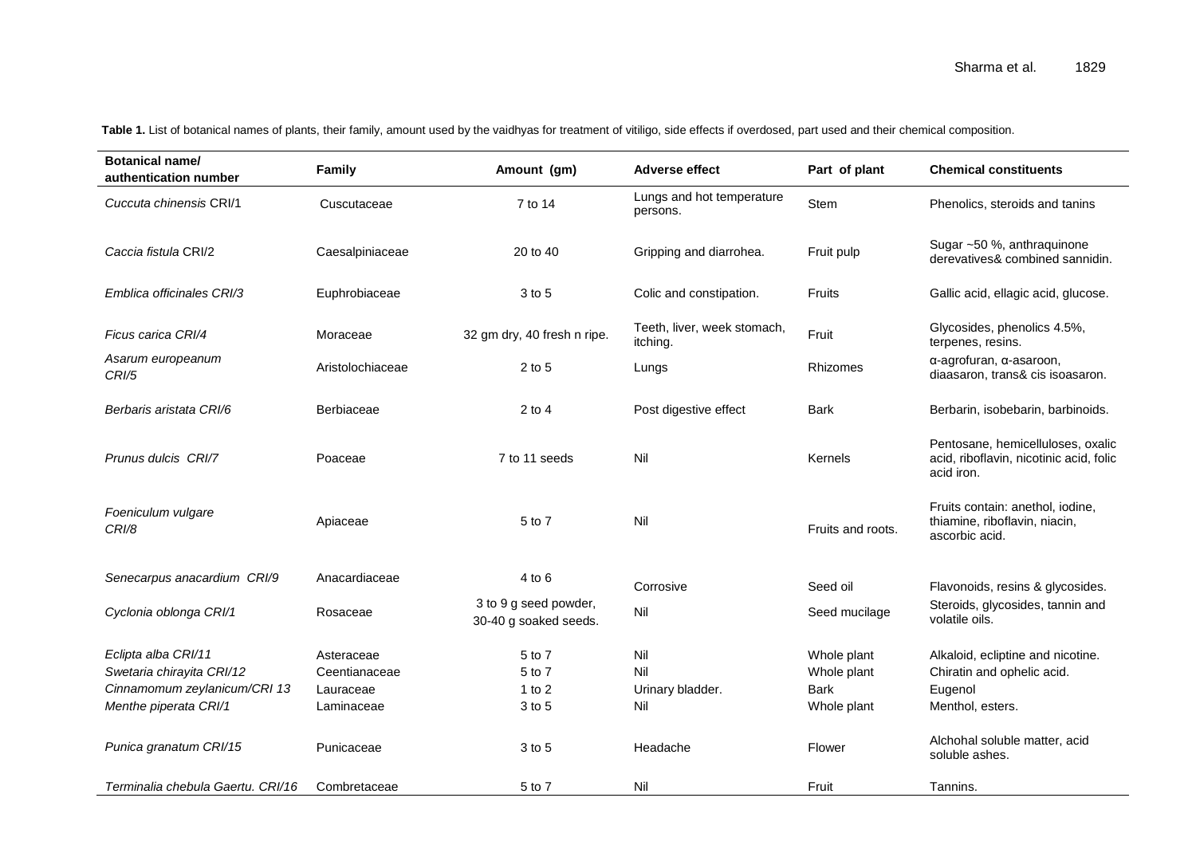| <b>Botanical name/</b><br>authentication number  | Family                      | Amount (gm)                                    | <b>Adverse effect</b>                   | Part of plant              | <b>Chemical constituents</b>                                                               |
|--------------------------------------------------|-----------------------------|------------------------------------------------|-----------------------------------------|----------------------------|--------------------------------------------------------------------------------------------|
| Cuccuta chinensis CRI/1                          | Cuscutaceae                 | 7 to 14                                        | Lungs and hot temperature<br>persons.   | Stem                       | Phenolics, steroids and tanins                                                             |
| Caccia fistula CRI/2                             | Caesalpiniaceae             | 20 to 40                                       | Gripping and diarrohea.                 | Fruit pulp                 | Sugar ~50 %, anthraquinone<br>derevatives& combined sannidin.                              |
| Emblica officinales CRI/3                        | Euphrobiaceae               | 3 to 5                                         | Colic and constipation.                 | Fruits                     | Gallic acid, ellagic acid, glucose.                                                        |
| Ficus carica CRI/4                               | Moraceae                    | 32 gm dry, 40 fresh n ripe.                    | Teeth, liver, week stomach,<br>itching. | Fruit                      | Glycosides, phenolics 4.5%,<br>terpenes, resins.                                           |
| Asarum europeanum<br><b>CRI/5</b>                | Aristolochiaceae            | $2$ to $5$                                     | Lungs                                   | Rhizomes                   | α-agrofuran, α-asaroon,<br>diaasaron, trans& cis isoasaron.                                |
| Berbaris aristata CRI/6                          | Berbiaceae                  | $2$ to 4                                       | Post digestive effect                   | <b>Bark</b>                | Berbarin, isobebarin, barbinoids.                                                          |
| Prunus dulcis CRI/7                              | Poaceae                     | 7 to 11 seeds                                  | Nil                                     | Kernels                    | Pentosane, hemicelluloses, oxalic<br>acid, riboflavin, nicotinic acid, folic<br>acid iron. |
| Foeniculum vulgare<br>CRI/8                      | Apiaceae                    | 5 to 7                                         | Nil                                     | Fruits and roots.          | Fruits contain: anethol, iodine,<br>thiamine, riboflavin, niacin,<br>ascorbic acid.        |
| Senecarpus anacardium CRI/9                      | Anacardiaceae               | $4$ to $6$                                     | Corrosive                               | Seed oil                   | Flavonoids, resins & glycosides.                                                           |
| Cyclonia oblonga CRI/1                           | Rosaceae                    | 3 to 9 g seed powder,<br>30-40 g soaked seeds. | Nil                                     | Seed mucilage              | Steroids, glycosides, tannin and<br>volatile oils.                                         |
| Eclipta alba CRI/11<br>Swetaria chirayita CRI/12 | Asteraceae<br>Ceentianaceae | 5 to 7<br>5 to 7                               | Nil<br>Nil                              | Whole plant<br>Whole plant | Alkaloid, ecliptine and nicotine.<br>Chiratin and ophelic acid.                            |
| Cinnamomum zeylanicum/CRI 13                     | Lauraceae                   | 1 to $2$                                       | Urinary bladder.                        | <b>Bark</b>                | Eugenol                                                                                    |
| Menthe piperata CRI/1                            | Laminaceae                  | 3 to 5                                         | Nil                                     | Whole plant                | Menthol, esters.                                                                           |
| Punica granatum CRI/15                           | Punicaceae                  | 3 to 5                                         | Headache                                | Flower                     | Alchohal soluble matter, acid<br>soluble ashes.                                            |
| Terminalia chebula Gaertu, CRI/16                | Combretaceae                | 5 to 7                                         | Nil                                     | Fruit                      | Tannins.                                                                                   |

Table 1. List of botanical names of plants, their family, amount used by the vaidhyas for treatment of vitiligo, side effects if overdosed, part used and their chemical composition.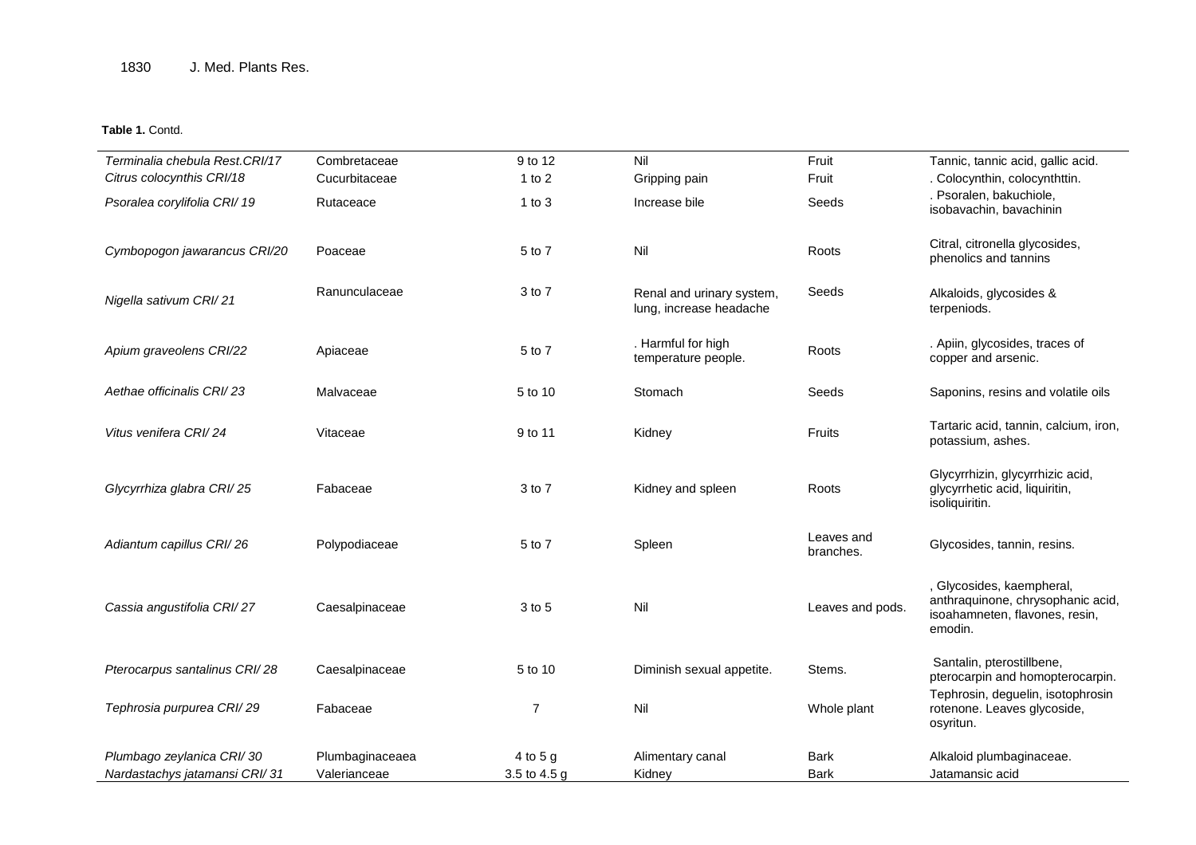## **Table 1.** Contd.

| Terminalia chebula Rest.CRI/17 | Combretaceae    | 9 to 12        | Nil                                                  | Fruit                   | Tannic, tannic acid, gallic acid.                                                                           |
|--------------------------------|-----------------|----------------|------------------------------------------------------|-------------------------|-------------------------------------------------------------------------------------------------------------|
| Citrus colocynthis CRI/18      | Cucurbitaceae   | 1 to $2$       | Gripping pain                                        | Fruit                   | . Colocynthin, colocynthttin.                                                                               |
| Psoralea corylifolia CRI/19    | Rutaceace       | $1$ to $3$     | Increase bile                                        | Seeds                   | . Psoralen, bakuchiole,<br>isobavachin, bavachinin                                                          |
| Cymbopogon jawarancus CRI/20   | Poaceae         | 5 to 7         | Nil                                                  | Roots                   | Citral, citronella glycosides,<br>phenolics and tannins                                                     |
| Nigella sativum CRI/21         | Ranunculaceae   | 3 to 7         | Renal and urinary system,<br>lung, increase headache | Seeds                   | Alkaloids, glycosides &<br>terpeniods.                                                                      |
| Apium graveolens CRI/22        | Apiaceae        | 5 to 7         | . Harmful for high<br>temperature people.            | Roots                   | . Apiin, glycosides, traces of<br>copper and arsenic.                                                       |
| Aethae officinalis CRI/23      | Malvaceae       | 5 to 10        | Stomach                                              | Seeds                   | Saponins, resins and volatile oils                                                                          |
| Vitus venifera CRI/24          | Vitaceae        | 9 to 11        | Kidney                                               | Fruits                  | Tartaric acid, tannin, calcium, iron,<br>potassium, ashes.                                                  |
| Glycyrrhiza glabra CRI/25      | Fabaceae        | 3 to 7         | Kidney and spleen                                    | Roots                   | Glycyrrhizin, glycyrrhizic acid,<br>glycyrrhetic acid, liquiritin,<br>isoliquiritin.                        |
| Adiantum capillus CRI/26       | Polypodiaceae   | 5 to 7         | Spleen                                               | Leaves and<br>branches. | Glycosides, tannin, resins.                                                                                 |
| Cassia angustifolia CRI/27     | Caesalpinaceae  | 3 to 5         | Nil                                                  | Leaves and pods.        | , Glycosides, kaempheral,<br>anthraquinone, chrysophanic acid,<br>isoahamneten, flavones, resin,<br>emodin. |
| Pterocarpus santalinus CRI/28  | Caesalpinaceae  | 5 to 10        | Diminish sexual appetite.                            | Stems.                  | Santalin, pterostillbene,<br>pterocarpin and homopterocarpin.                                               |
| Tephrosia purpurea CRI/29      | Fabaceae        | $\overline{7}$ | Nil                                                  | Whole plant             | Tephrosin, deguelin, isotophrosin<br>rotenone. Leaves glycoside,<br>osyritun.                               |
| Plumbago zeylanica CRI/30      | Plumbaginaceaea | 4 to 5 g       | Alimentary canal                                     | Bark                    | Alkaloid plumbaginaceae.                                                                                    |
| Nardastachys jatamansi CRI/31  | Valerianceae    | 3.5 to 4.5 g   | Kidney                                               | Bark                    | Jatamansic acid                                                                                             |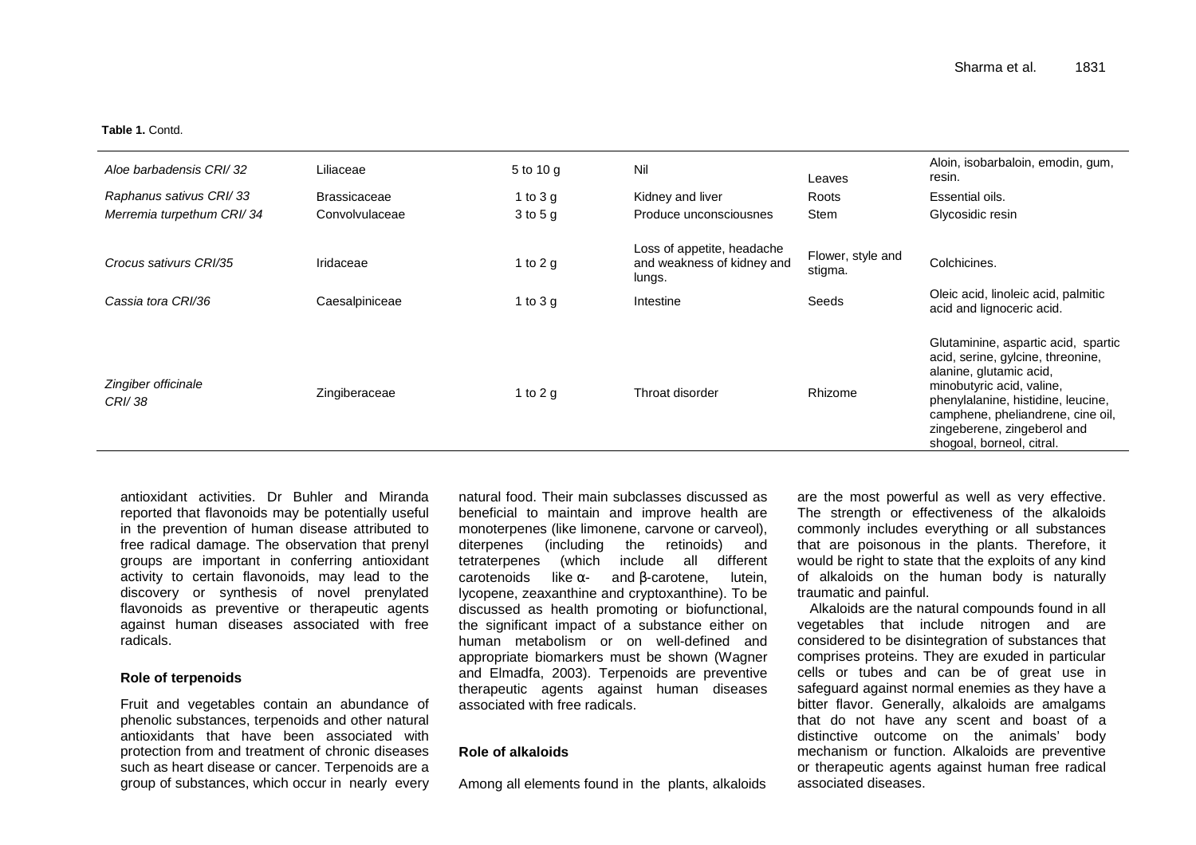#### **Table 1.** Contd.

| Aloe barbadensis CRI/32       | Liliaceae           | 5 to 10 g    | Nil                                                                | Leaves                       | Aloin, isobarbaloin, emodin, gum,<br>resin.                                                                                                                                                                                                                             |
|-------------------------------|---------------------|--------------|--------------------------------------------------------------------|------------------------------|-------------------------------------------------------------------------------------------------------------------------------------------------------------------------------------------------------------------------------------------------------------------------|
| Raphanus sativus CRI/33       | <b>Brassicaceae</b> | 1 to $3 g$   | Kidney and liver                                                   | Roots                        | Essential oils.                                                                                                                                                                                                                                                         |
| Merremia turpethum CRI/34     | Convolvulaceae      | $3$ to $5$ g | Produce unconsciousnes                                             | Stem                         | Glycosidic resin                                                                                                                                                                                                                                                        |
| Crocus sativurs CRI/35        | Iridaceae           | 1 to 2 g     | Loss of appetite, headache<br>and weakness of kidney and<br>lungs. | Flower, style and<br>stigma. | Colchicines.                                                                                                                                                                                                                                                            |
| Cassia tora CRI/36            | Caesalpiniceae      | 1 to $3 g$   | Intestine                                                          | Seeds                        | Oleic acid, linoleic acid, palmitic<br>acid and lignoceric acid.                                                                                                                                                                                                        |
| Zingiber officinale<br>CRI/38 | Zingiberaceae       | 1 to 2 g     | Throat disorder                                                    | Rhizome                      | Glutaminine, aspartic acid, spartic<br>acid, serine, gylcine, threonine,<br>alanine, glutamic acid,<br>minobutyric acid, valine,<br>phenylalanine, histidine, leucine,<br>camphene, pheliandrene, cine oil,<br>zingeberene, zingeberol and<br>shogoal, borneol, citral. |

antioxidant activities. Dr Buhler and Miranda reported that flavonoids may be potentially useful in the prevention of human disease attributed to free radical damage. The observation that prenyl groups are important in conferring antioxidant activity to certain flavonoids, may lead to the discovery or synthesis of novel prenylated flavonoids as preventive or therapeutic agents against human diseases associated with free radicals.

### **Role of terpenoids**

Fruit and vegetables contain an abundance of phenolic substances, terpenoids and other natural antioxidants that have been associated with protection from and treatment of chronic diseases such as heart disease or cancer. Terpenoids are a group of substances, which occur in nearly every natural food. Their main subclasses discussed as beneficial to maintain and improve health are monoterpenes (like limonene, carvone or carveol), diterpenes (including the retinoids) and tetraterpenes (which include all different lutein. carotenoids like  $α-$  and  $β$ -carotene, lycopene, zeaxanthine and cryptoxanthine). To be discussed as health promoting or biofunctional, the significant impact of a substance either on human metabolism or on well-defined and appropriate biomarkers must be shown (Wagner and Elmadfa, 2003). Terpenoids are preventive therapeutic agents against human diseases associated with free radicals.

## **Role of alkaloids**

Among all elements found in the plants, alkaloids

are the most powerful as well as very effective. The strength or effectiveness of the alkaloids commonly includes everything or all substances that are poisonous in the plants. Therefore, it would be right to state that the exploits of any kind of alkaloids on the human body is naturally traumatic and painful.

 Alkaloids are the natural compounds found in all vegetables that include nitrogen and are considered to be disintegration of substances that comprises proteins. They are exuded in particular cells or tubes and can be of great use in safeguard against normal enemies as they have a bitter flavor. Generally, alkaloids are amalgams that do not have any scent and boast of a distinctive outcome on the animals' body mechanism or function. Alkaloids are preventive or therapeutic agents against human free radical associated diseases.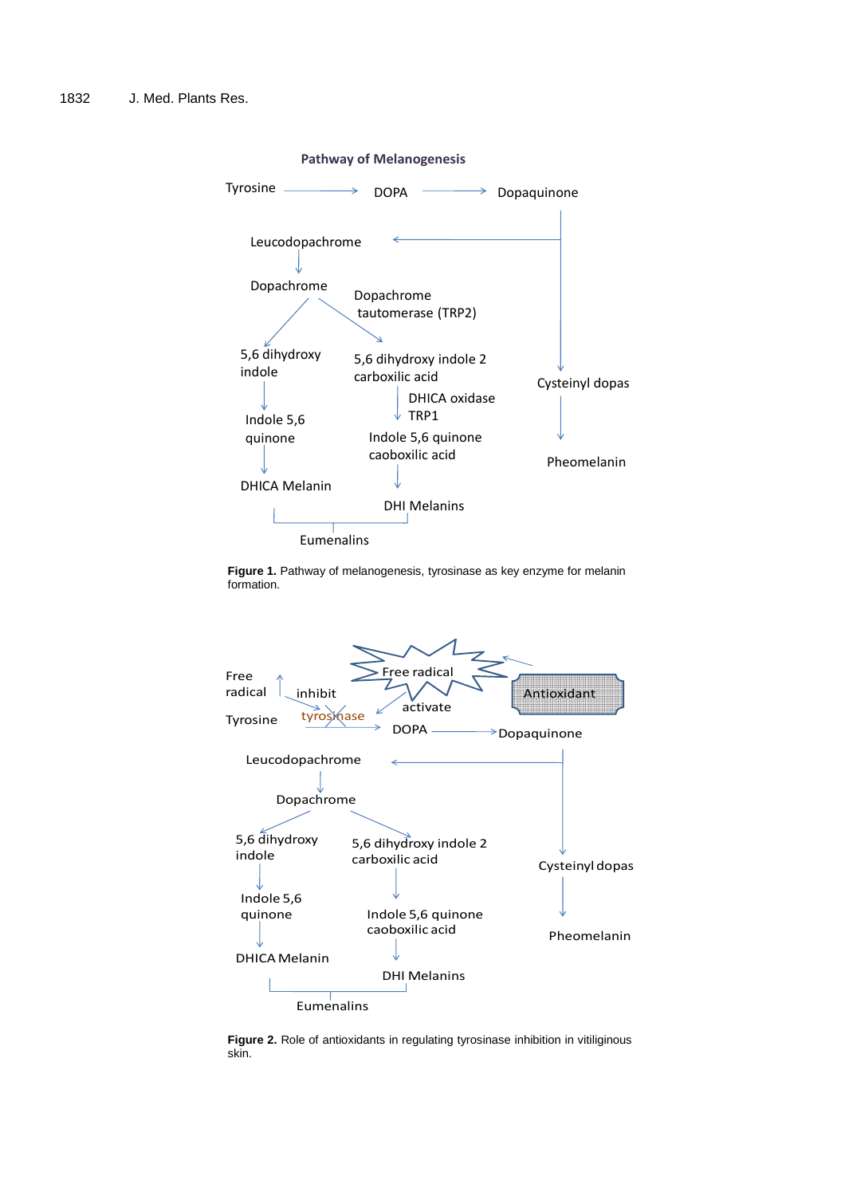

**Figure 1.** Pathway of melanogenesis, tyrosinase as key enzyme for melanin formation.



**Figure 2.** Role of antioxidants in regulating tyrosinase inhibition in vitiliginous skin.